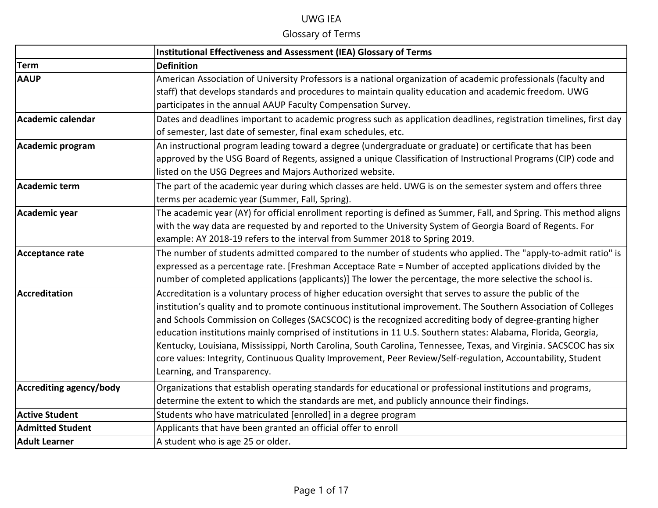|                         | <b>Institutional Effectiveness and Assessment (IEA) Glossary of Terms</b>                                           |
|-------------------------|---------------------------------------------------------------------------------------------------------------------|
| <b>Term</b>             | <b>Definition</b>                                                                                                   |
| <b>AAUP</b>             | American Association of University Professors is a national organization of academic professionals (faculty and     |
|                         | staff) that develops standards and procedures to maintain quality education and academic freedom. UWG               |
|                         | participates in the annual AAUP Faculty Compensation Survey.                                                        |
| Academic calendar       | Dates and deadlines important to academic progress such as application deadlines, registration timelines, first day |
|                         | of semester, last date of semester, final exam schedules, etc.                                                      |
| Academic program        | An instructional program leading toward a degree (undergraduate or graduate) or certificate that has been           |
|                         | approved by the USG Board of Regents, assigned a unique Classification of Instructional Programs (CIP) code and     |
|                         | listed on the USG Degrees and Majors Authorized website.                                                            |
| Academic term           | The part of the academic year during which classes are held. UWG is on the semester system and offers three         |
|                         | terms per academic year (Summer, Fall, Spring).                                                                     |
| Academic year           | The academic year (AY) for official enrollment reporting is defined as Summer, Fall, and Spring. This method aligns |
|                         | with the way data are requested by and reported to the University System of Georgia Board of Regents. For           |
|                         | example: AY 2018-19 refers to the interval from Summer 2018 to Spring 2019.                                         |
| Acceptance rate         | The number of students admitted compared to the number of students who applied. The "apply-to-admit ratio" is       |
|                         | expressed as a percentage rate. [Freshman Acceptace Rate = Number of accepted applications divided by the           |
|                         | number of completed applications (applicants)] The lower the percentage, the more selective the school is.          |
| Accreditation           | Accreditation is a voluntary process of higher education oversight that serves to assure the public of the          |
|                         | institution's quality and to promote continuous institutional improvement. The Southern Association of Colleges     |
|                         | and Schools Commission on Colleges (SACSCOC) is the recognized accrediting body of degree-granting higher           |
|                         | education institutions mainly comprised of institutions in 11 U.S. Southern states: Alabama, Florida, Georgia,      |
|                         | Kentucky, Louisiana, Mississippi, North Carolina, South Carolina, Tennessee, Texas, and Virginia. SACSCOC has six   |
|                         | core values: Integrity, Continuous Quality Improvement, Peer Review/Self-regulation, Accountability, Student        |
|                         | Learning, and Transparency.                                                                                         |
| Accrediting agency/body | Organizations that establish operating standards for educational or professional institutions and programs,         |
|                         | determine the extent to which the standards are met, and publicly announce their findings.                          |
| <b>Active Student</b>   | Students who have matriculated [enrolled] in a degree program                                                       |
| <b>Admitted Student</b> | Applicants that have been granted an official offer to enroll                                                       |
| <b>Adult Learner</b>    | A student who is age 25 or older.                                                                                   |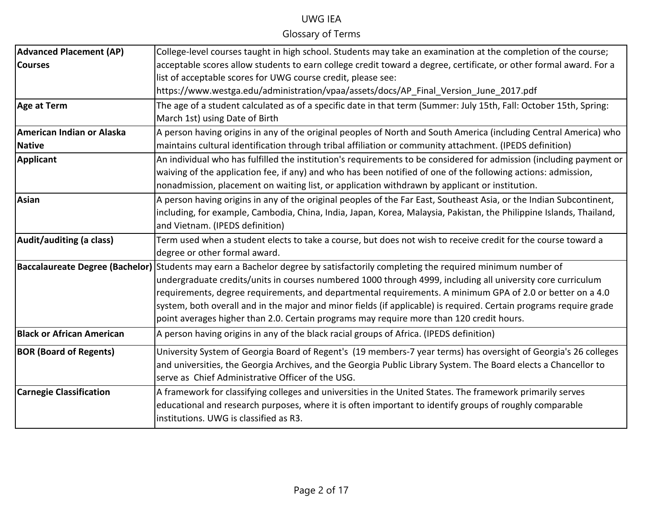| <b>Advanced Placement (AP)</b>   | College-level courses taught in high school. Students may take an examination at the completion of the course;                         |
|----------------------------------|----------------------------------------------------------------------------------------------------------------------------------------|
| <b>Courses</b>                   | acceptable scores allow students to earn college credit toward a degree, certificate, or other formal award. For a                     |
|                                  | list of acceptable scores for UWG course credit, please see:                                                                           |
|                                  | https://www.westga.edu/administration/vpaa/assets/docs/AP Final Version June 2017.pdf                                                  |
| Age at Term                      | The age of a student calculated as of a specific date in that term (Summer: July 15th, Fall: October 15th, Spring:                     |
|                                  | March 1st) using Date of Birth                                                                                                         |
| American Indian or Alaska        | A person having origins in any of the original peoples of North and South America (including Central America) who                      |
| <b>Native</b>                    | maintains cultural identification through tribal affiliation or community attachment. (IPEDS definition)                               |
| Applicant                        | An individual who has fulfilled the institution's requirements to be considered for admission (including payment or                    |
|                                  | waiving of the application fee, if any) and who has been notified of one of the following actions: admission,                          |
|                                  | nonadmission, placement on waiting list, or application withdrawn by applicant or institution.                                         |
| Asian                            | A person having origins in any of the original peoples of the Far East, Southeast Asia, or the Indian Subcontinent,                    |
|                                  | including, for example, Cambodia, China, India, Japan, Korea, Malaysia, Pakistan, the Philippine Islands, Thailand,                    |
|                                  | and Vietnam. (IPEDS definition)                                                                                                        |
| Audit/auditing (a class)         | Term used when a student elects to take a course, but does not wish to receive credit for the course toward a                          |
|                                  | degree or other formal award.                                                                                                          |
|                                  | <b>Baccalaureate Degree (Bachelor)</b> Students may earn a Bachelor degree by satisfactorily completing the required minimum number of |
|                                  | undergraduate credits/units in courses numbered 1000 through 4999, including all university core curriculum                            |
|                                  | requirements, degree requirements, and departmental requirements. A minimum GPA of 2.0 or better on a 4.0                              |
|                                  | system, both overall and in the major and minor fields (if applicable) is required. Certain programs require grade                     |
|                                  | point averages higher than 2.0. Certain programs may require more than 120 credit hours.                                               |
| <b>Black or African American</b> | A person having origins in any of the black racial groups of Africa. (IPEDS definition)                                                |
| <b>BOR (Board of Regents)</b>    | University System of Georgia Board of Regent's (19 members-7 year terms) has oversight of Georgia's 26 colleges                        |
|                                  | and universities, the Georgia Archives, and the Georgia Public Library System. The Board elects a Chancellor to                        |
|                                  | serve as Chief Administrative Officer of the USG.                                                                                      |
| <b>Carnegie Classification</b>   | A framework for classifying colleges and universities in the United States. The framework primarily serves                             |
|                                  | educational and research purposes, where it is often important to identify groups of roughly comparable                                |
|                                  | institutions. UWG is classified as R3.                                                                                                 |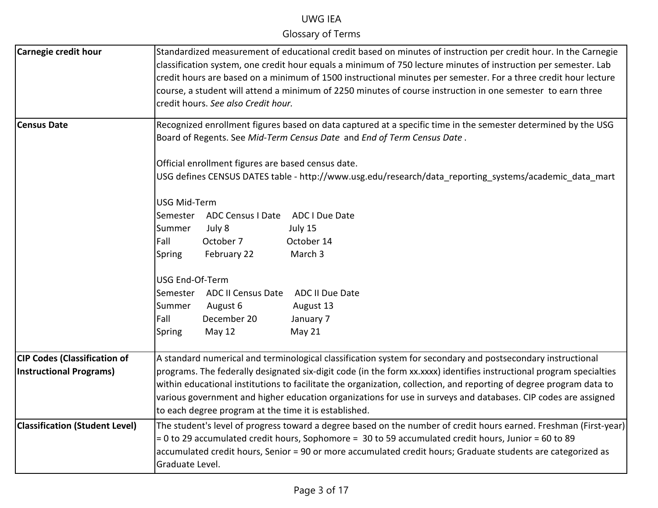| Carnegie credit hour                                                  | Standardized measurement of educational credit based on minutes of instruction per credit hour. In the Carnegie<br>classification system, one credit hour equals a minimum of 750 lecture minutes of instruction per semester. Lab<br>credit hours are based on a minimum of 1500 instructional minutes per semester. For a three credit hour lecture<br>course, a student will attend a minimum of 2250 minutes of course instruction in one semester to earn three<br>credit hours. See also Credit hour.                           |
|-----------------------------------------------------------------------|---------------------------------------------------------------------------------------------------------------------------------------------------------------------------------------------------------------------------------------------------------------------------------------------------------------------------------------------------------------------------------------------------------------------------------------------------------------------------------------------------------------------------------------|
| <b>Census Date</b>                                                    | Recognized enrollment figures based on data captured at a specific time in the semester determined by the USG<br>Board of Regents. See Mid-Term Census Date and End of Term Census Date.                                                                                                                                                                                                                                                                                                                                              |
|                                                                       | Official enrollment figures are based census date.<br>USG defines CENSUS DATES table - http://www.usg.edu/research/data_reporting_systems/academic_data_mart                                                                                                                                                                                                                                                                                                                                                                          |
|                                                                       | <b>USG Mid-Term</b>                                                                                                                                                                                                                                                                                                                                                                                                                                                                                                                   |
|                                                                       | Semester ADC Census I Date ADC I Due Date                                                                                                                                                                                                                                                                                                                                                                                                                                                                                             |
|                                                                       | July 15<br>Summer<br>July 8                                                                                                                                                                                                                                                                                                                                                                                                                                                                                                           |
|                                                                       | Fall<br>October 7<br>October 14                                                                                                                                                                                                                                                                                                                                                                                                                                                                                                       |
|                                                                       | March 3<br>Spring<br>February 22                                                                                                                                                                                                                                                                                                                                                                                                                                                                                                      |
|                                                                       | USG End-Of-Term                                                                                                                                                                                                                                                                                                                                                                                                                                                                                                                       |
|                                                                       | Semester ADC II Census Date<br><b>ADC II Due Date</b>                                                                                                                                                                                                                                                                                                                                                                                                                                                                                 |
|                                                                       | Summer<br>August 6<br>August 13                                                                                                                                                                                                                                                                                                                                                                                                                                                                                                       |
|                                                                       | Fall<br>December 20<br>January 7                                                                                                                                                                                                                                                                                                                                                                                                                                                                                                      |
|                                                                       | May 12<br>May 21<br>Spring                                                                                                                                                                                                                                                                                                                                                                                                                                                                                                            |
| <b>CIP Codes (Classification of</b><br><b>Instructional Programs)</b> | A standard numerical and terminological classification system for secondary and postsecondary instructional<br>programs. The federally designated six-digit code (in the form xx.xxxx) identifies instructional program specialties<br>within educational institutions to facilitate the organization, collection, and reporting of degree program data to<br>various government and higher education organizations for use in surveys and databases. CIP codes are assigned<br>to each degree program at the time it is established. |
| <b>Classification (Student Level)</b>                                 | The student's level of progress toward a degree based on the number of credit hours earned. Freshman (First-year)<br>$= 0$ to 29 accumulated credit hours, Sophomore = 30 to 59 accumulated credit hours, Junior = 60 to 89<br>accumulated credit hours, Senior = 90 or more accumulated credit hours; Graduate students are categorized as<br>Graduate Level.                                                                                                                                                                        |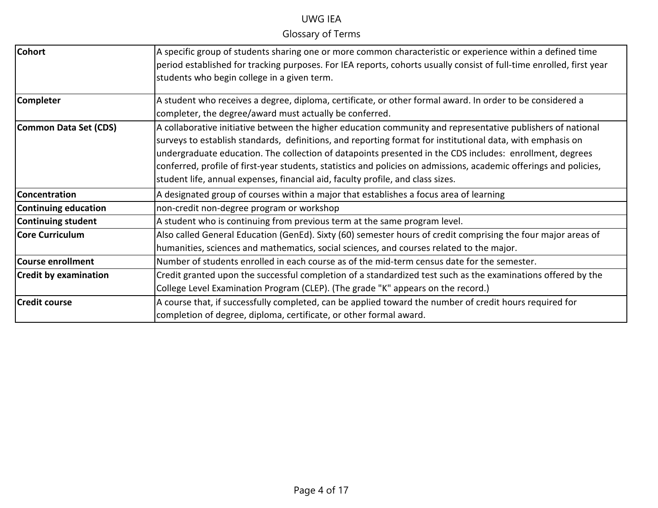| <b>Cohort</b>                | A specific group of students sharing one or more common characteristic or experience within a defined time                                                           |
|------------------------------|----------------------------------------------------------------------------------------------------------------------------------------------------------------------|
|                              | period established for tracking purposes. For IEA reports, cohorts usually consist of full-time enrolled, first year                                                 |
|                              | students who begin college in a given term.                                                                                                                          |
| <b>Completer</b>             | A student who receives a degree, diploma, certificate, or other formal award. In order to be considered a<br>completer, the degree/award must actually be conferred. |
| Common Data Set (CDS)        | A collaborative initiative between the higher education community and representative publishers of national                                                          |
|                              | surveys to establish standards, definitions, and reporting format for institutional data, with emphasis on                                                           |
|                              | undergraduate education. The collection of datapoints presented in the CDS includes: enrollment, degrees                                                             |
|                              | conferred, profile of first-year students, statistics and policies on admissions, academic offerings and policies,                                                   |
|                              | student life, annual expenses, financial aid, faculty profile, and class sizes.                                                                                      |
| Concentration                | A designated group of courses within a major that establishes a focus area of learning                                                                               |
| Continuing education         | non-credit non-degree program or workshop                                                                                                                            |
| Continuing student           | A student who is continuing from previous term at the same program level.                                                                                            |
| <b>Core Curriculum</b>       | Also called General Education (GenEd). Sixty (60) semester hours of credit comprising the four major areas of                                                        |
|                              | humanities, sciences and mathematics, social sciences, and courses related to the major.                                                                             |
| Course enrollment            | Number of students enrolled in each course as of the mid-term census date for the semester.                                                                          |
| <b>Credit by examination</b> | Credit granted upon the successful completion of a standardized test such as the examinations offered by the                                                         |
|                              | College Level Examination Program (CLEP). (The grade "K" appears on the record.)                                                                                     |
| <b>Credit course</b>         | A course that, if successfully completed, can be applied toward the number of credit hours required for                                                              |
|                              | completion of degree, diploma, certificate, or other formal award.                                                                                                   |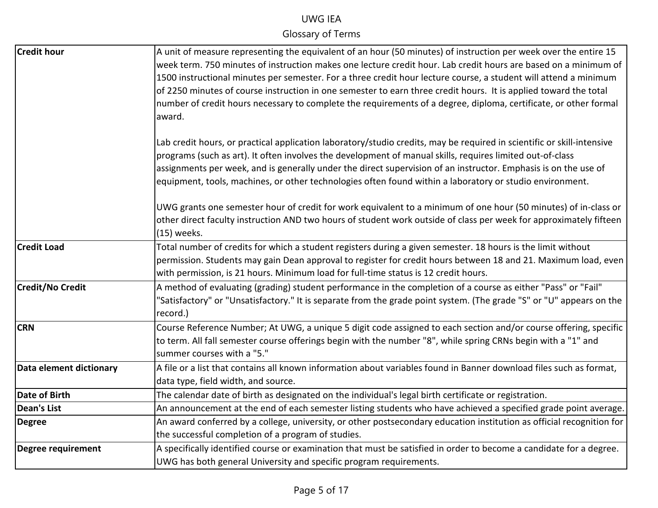| <b>Credit hour</b>        | A unit of measure representing the equivalent of an hour (50 minutes) of instruction per week over the entire 15       |
|---------------------------|------------------------------------------------------------------------------------------------------------------------|
|                           | week term. 750 minutes of instruction makes one lecture credit hour. Lab credit hours are based on a minimum of        |
|                           | 1500 instructional minutes per semester. For a three credit hour lecture course, a student will attend a minimum       |
|                           | of 2250 minutes of course instruction in one semester to earn three credit hours. It is applied toward the total       |
|                           | number of credit hours necessary to complete the requirements of a degree, diploma, certificate, or other formal       |
|                           | award.                                                                                                                 |
|                           |                                                                                                                        |
|                           | Lab credit hours, or practical application laboratory/studio credits, may be required in scientific or skill-intensive |
|                           | programs (such as art). It often involves the development of manual skills, requires limited out-of-class              |
|                           | assignments per week, and is generally under the direct supervision of an instructor. Emphasis is on the use of        |
|                           | equipment, tools, machines, or other technologies often found within a laboratory or studio environment.               |
|                           | UWG grants one semester hour of credit for work equivalent to a minimum of one hour (50 minutes) of in-class or        |
|                           | other direct faculty instruction AND two hours of student work outside of class per week for approximately fifteen     |
|                           | (15) weeks.                                                                                                            |
| <b>Credit Load</b>        | Total number of credits for which a student registers during a given semester. 18 hours is the limit without           |
|                           | permission. Students may gain Dean approval to register for credit hours between 18 and 21. Maximum load, even         |
|                           | with permission, is 21 hours. Minimum load for full-time status is 12 credit hours.                                    |
| <b>Credit/No Credit</b>   | A method of evaluating (grading) student performance in the completion of a course as either "Pass" or "Fail"          |
|                           | "Satisfactory" or "Unsatisfactory." It is separate from the grade point system. (The grade "S" or "U" appears on the   |
|                           | record.)                                                                                                               |
| <b>CRN</b>                | Course Reference Number; At UWG, a unique 5 digit code assigned to each section and/or course offering, specific       |
|                           | to term. All fall semester course offerings begin with the number "8", while spring CRNs begin with a "1" and          |
|                           | summer courses with a "5."                                                                                             |
| Data element dictionary   | A file or a list that contains all known information about variables found in Banner download files such as format,    |
|                           | data type, field width, and source.                                                                                    |
| Date of Birth             | The calendar date of birth as designated on the individual's legal birth certificate or registration.                  |
| <b>Dean's List</b>        | An announcement at the end of each semester listing students who have achieved a specified grade point average.        |
| <b>Degree</b>             | An award conferred by a college, university, or other postsecondary education institution as official recognition for  |
|                           | the successful completion of a program of studies.                                                                     |
| <b>Degree requirement</b> | A specifically identified course or examination that must be satisfied in order to become a candidate for a degree.    |
|                           | UWG has both general University and specific program requirements.                                                     |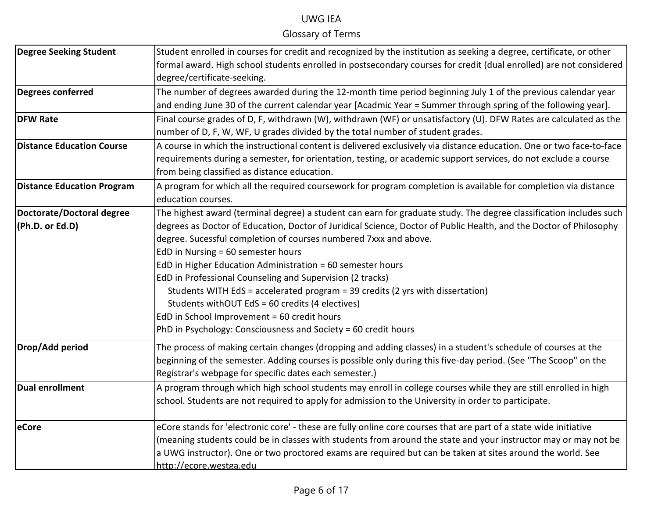| <b>Degree Seeking Student</b>     | Student enrolled in courses for credit and recognized by the institution as seeking a degree, certificate, or other  |
|-----------------------------------|----------------------------------------------------------------------------------------------------------------------|
|                                   | formal award. High school students enrolled in postsecondary courses for credit (dual enrolled) are not considered   |
|                                   | degree/certificate-seeking.                                                                                          |
| Degrees conferred                 | The number of degrees awarded during the 12-month time period beginning July 1 of the previous calendar year         |
|                                   | and ending June 30 of the current calendar year [Acadmic Year = Summer through spring of the following year].        |
| <b>DFW Rate</b>                   | Final course grades of D, F, withdrawn (W), withdrawn (WF) or unsatisfactory (U). DFW Rates are calculated as the    |
|                                   | number of D, F, W, WF, U grades divided by the total number of student grades.                                       |
| <b>Distance Education Course</b>  | A course in which the instructional content is delivered exclusively via distance education. One or two face-to-face |
|                                   | requirements during a semester, for orientation, testing, or academic support services, do not exclude a course      |
|                                   | from being classified as distance education.                                                                         |
| <b>Distance Education Program</b> | A program for which all the required coursework for program completion is available for completion via distance      |
|                                   | education courses.                                                                                                   |
| Doctorate/Doctoral degree         | The highest award (terminal degree) a student can earn for graduate study. The degree classification includes such   |
| (Ph.D. or Ed.D)                   | degrees as Doctor of Education, Doctor of Juridical Science, Doctor of Public Health, and the Doctor of Philosophy   |
|                                   | degree. Sucessful completion of courses numbered 7xxx and above.                                                     |
|                                   | EdD in Nursing = 60 semester hours                                                                                   |
|                                   | EdD in Higher Education Administration = 60 semester hours                                                           |
|                                   | EdD in Professional Counseling and Supervision (2 tracks)                                                            |
|                                   | Students WITH EdS = accelerated program = 39 credits (2 yrs with dissertation)                                       |
|                                   | Students withOUT EdS = 60 credits (4 electives)                                                                      |
|                                   | EdD in School Improvement = 60 credit hours                                                                          |
|                                   | PhD in Psychology: Consciousness and Society = 60 credit hours                                                       |
| Drop/Add period                   | The process of making certain changes (dropping and adding classes) in a student's schedule of courses at the        |
|                                   | beginning of the semester. Adding courses is possible only during this five-day period. (See "The Scoop" on the      |
|                                   | Registrar's webpage for specific dates each semester.)                                                               |
| Dual enrollment                   | A program through which high school students may enroll in college courses while they are still enrolled in high     |
|                                   | school. Students are not required to apply for admission to the University in order to participate.                  |
|                                   |                                                                                                                      |
| eCore                             | eCore stands for 'electronic core' - these are fully online core courses that are part of a state wide initiative    |
|                                   | (meaning students could be in classes with students from around the state and your instructor may or may not be      |
|                                   | a UWG instructor). One or two proctored exams are required but can be taken at sites around the world. See           |
|                                   | http://ecore.westga.edu                                                                                              |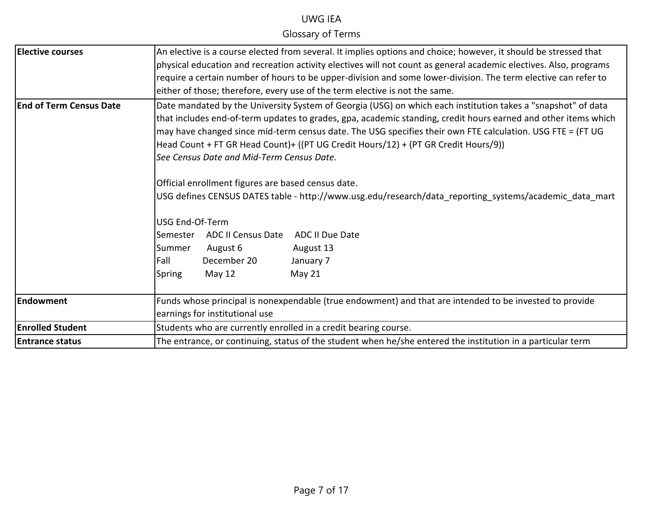| <b>Elective courses</b>        | An elective is a course elected from several. It implies options and choice; however, it should be stressed that                                             |  |  |
|--------------------------------|--------------------------------------------------------------------------------------------------------------------------------------------------------------|--|--|
|                                |                                                                                                                                                              |  |  |
|                                | physical education and recreation activity electives will not count as general academic electives. Also, programs                                            |  |  |
|                                | require a certain number of hours to be upper-division and some lower-division. The term elective can refer to                                               |  |  |
|                                | either of those; therefore, every use of the term elective is not the same.                                                                                  |  |  |
| <b>End of Term Census Date</b> | Date mandated by the University System of Georgia (USG) on which each institution takes a "snapshot" of data                                                 |  |  |
|                                | that includes end-of-term updates to grades, gpa, academic standing, credit hours earned and other items which                                               |  |  |
|                                | may have changed since mid-term census date. The USG specifies their own FTE calculation. USG FTE = (FT UG                                                   |  |  |
|                                | Head Count + FT GR Head Count)+ ((PT UG Credit Hours/12) + (PT GR Credit Hours/9))                                                                           |  |  |
|                                | See Census Date and Mid-Term Census Date.                                                                                                                    |  |  |
|                                |                                                                                                                                                              |  |  |
|                                | Official enrollment figures are based census date.<br>USG defines CENSUS DATES table - http://www.usg.edu/research/data reporting systems/academic data mart |  |  |
|                                |                                                                                                                                                              |  |  |
|                                |                                                                                                                                                              |  |  |
|                                | USG End-Of-Term                                                                                                                                              |  |  |
|                                | <b>ADC II Census Date</b><br><b>ADC II Due Date</b><br>Semester                                                                                              |  |  |
|                                | August 6<br>August 13<br>Summer                                                                                                                              |  |  |
|                                | December 20<br>Fall<br>January 7                                                                                                                             |  |  |
|                                | May 21<br>Spring<br>May 12                                                                                                                                   |  |  |
|                                |                                                                                                                                                              |  |  |
| Endowment                      | Funds whose principal is nonexpendable (true endowment) and that are intended to be invested to provide                                                      |  |  |
|                                | earnings for institutional use                                                                                                                               |  |  |
| <b>Enrolled Student</b>        | Students who are currently enrolled in a credit bearing course.                                                                                              |  |  |
| <b>Entrance status</b>         | The entrance, or continuing, status of the student when he/she entered the institution in a particular term                                                  |  |  |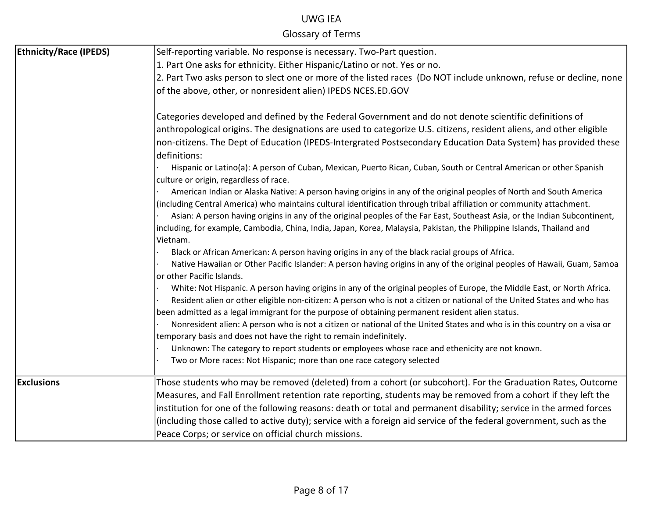| <b>Ethnicity/Race (IPEDS)</b> | Self-reporting variable. No response is necessary. Two-Part question.                                                                                                                                                                                                                                                                                                                                                                                                                                            |
|-------------------------------|------------------------------------------------------------------------------------------------------------------------------------------------------------------------------------------------------------------------------------------------------------------------------------------------------------------------------------------------------------------------------------------------------------------------------------------------------------------------------------------------------------------|
|                               | 1. Part One asks for ethnicity. Either Hispanic/Latino or not. Yes or no.                                                                                                                                                                                                                                                                                                                                                                                                                                        |
|                               | 2. Part Two asks person to slect one or more of the listed races (Do NOT include unknown, refuse or decline, none                                                                                                                                                                                                                                                                                                                                                                                                |
|                               | of the above, other, or nonresident alien) IPEDS NCES.ED.GOV                                                                                                                                                                                                                                                                                                                                                                                                                                                     |
|                               | Categories developed and defined by the Federal Government and do not denote scientific definitions of<br>anthropological origins. The designations are used to categorize U.S. citizens, resident aliens, and other eligible<br>non-citizens. The Dept of Education (IPEDS-Intergrated Postsecondary Education Data System) has provided these                                                                                                                                                                  |
|                               | definitions:<br>Hispanic or Latino(a): A person of Cuban, Mexican, Puerto Rican, Cuban, South or Central American or other Spanish<br>culture or origin, regardless of race.                                                                                                                                                                                                                                                                                                                                     |
|                               | American Indian or Alaska Native: A person having origins in any of the original peoples of North and South America<br>(including Central America) who maintains cultural identification through tribal affiliation or community attachment.<br>Asian: A person having origins in any of the original peoples of the Far East, Southeast Asia, or the Indian Subcontinent,<br>including, for example, Cambodia, China, India, Japan, Korea, Malaysia, Pakistan, the Philippine Islands, Thailand and<br>Vietnam. |
|                               | Black or African American: A person having origins in any of the black racial groups of Africa.<br>Native Hawaiian or Other Pacific Islander: A person having origins in any of the original peoples of Hawaii, Guam, Samoa<br>or other Pacific Islands.                                                                                                                                                                                                                                                         |
|                               | White: Not Hispanic. A person having origins in any of the original peoples of Europe, the Middle East, or North Africa.<br>Resident alien or other eligible non-citizen: A person who is not a citizen or national of the United States and who has<br>been admitted as a legal immigrant for the purpose of obtaining permanent resident alien status.                                                                                                                                                         |
|                               | Nonresident alien: A person who is not a citizen or national of the United States and who is in this country on a visa or<br>temporary basis and does not have the right to remain indefinitely.                                                                                                                                                                                                                                                                                                                 |
|                               | Unknown: The category to report students or employees whose race and ethenicity are not known.<br>Two or More races: Not Hispanic; more than one race category selected                                                                                                                                                                                                                                                                                                                                          |
| <b>Exclusions</b>             | Those students who may be removed (deleted) from a cohort (or subcohort). For the Graduation Rates, Outcome                                                                                                                                                                                                                                                                                                                                                                                                      |
|                               | Measures, and Fall Enrollment retention rate reporting, students may be removed from a cohort if they left the                                                                                                                                                                                                                                                                                                                                                                                                   |
|                               | institution for one of the following reasons: death or total and permanent disability; service in the armed forces                                                                                                                                                                                                                                                                                                                                                                                               |
|                               | (including those called to active duty); service with a foreign aid service of the federal government, such as the                                                                                                                                                                                                                                                                                                                                                                                               |
|                               | Peace Corps; or service on official church missions.                                                                                                                                                                                                                                                                                                                                                                                                                                                             |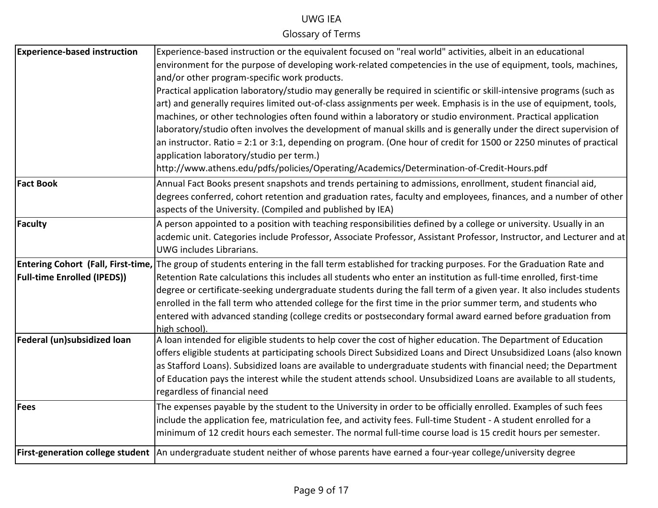| <b>Experience-based instruction</b> | Experience-based instruction or the equivalent focused on "real world" activities, albeit in an educational                                              |
|-------------------------------------|----------------------------------------------------------------------------------------------------------------------------------------------------------|
|                                     | environment for the purpose of developing work-related competencies in the use of equipment, tools, machines,                                            |
|                                     | and/or other program-specific work products.                                                                                                             |
|                                     | Practical application laboratory/studio may generally be required in scientific or skill-intensive programs (such as                                     |
|                                     | art) and generally requires limited out-of-class assignments per week. Emphasis is in the use of equipment, tools,                                       |
|                                     | machines, or other technologies often found within a laboratory or studio environment. Practical application                                             |
|                                     | laboratory/studio often involves the development of manual skills and is generally under the direct supervision of                                       |
|                                     | an instructor. Ratio = 2:1 or 3:1, depending on program. (One hour of credit for 1500 or 2250 minutes of practical                                       |
|                                     | application laboratory/studio per term.)                                                                                                                 |
|                                     | http://www.athens.edu/pdfs/policies/Operating/Academics/Determination-of-Credit-Hours.pdf                                                                |
| <b>Fact Book</b>                    | Annual Fact Books present snapshots and trends pertaining to admissions, enrollment, student financial aid,                                              |
|                                     | degrees conferred, cohort retention and graduation rates, faculty and employees, finances, and a number of other                                         |
|                                     | aspects of the University. (Compiled and published by IEA)                                                                                               |
| Faculty                             | A person appointed to a position with teaching responsibilities defined by a college or university. Usually in an                                        |
|                                     | acdemic unit. Categories include Professor, Associate Professor, Assistant Professor, Instructor, and Lecturer and at                                    |
|                                     | UWG includes Librarians.                                                                                                                                 |
|                                     | <b>Entering Cohort (Fall, First-time,</b> The group of students entering in the fall term established for tracking purposes. For the Graduation Rate and |
| <b>Full-time Enrolled (IPEDS))</b>  | Retention Rate calculations this includes all students who enter an institution as full-time enrolled, first-time                                        |
|                                     | degree or certificate-seeking undergraduate students during the fall term of a given year. It also includes students                                     |
|                                     | enrolled in the fall term who attended college for the first time in the prior summer term, and students who                                             |
|                                     | entered with advanced standing (college credits or postsecondary formal award earned before graduation from                                              |
|                                     | high school).                                                                                                                                            |
| Federal (un)subsidized loan         | A loan intended for eligible students to help cover the cost of higher education. The Department of Education                                            |
|                                     | offers eligible students at participating schools Direct Subsidized Loans and Direct Unsubsidized Loans (also known                                      |
|                                     | as Stafford Loans). Subsidized loans are available to undergraduate students with financial need; the Department                                         |
|                                     | of Education pays the interest while the student attends school. Unsubsidized Loans are available to all students,<br>regardless of financial need       |
|                                     |                                                                                                                                                          |
| Fees                                | The expenses payable by the student to the University in order to be officially enrolled. Examples of such fees                                          |
|                                     | include the application fee, matriculation fee, and activity fees. Full-time Student - A student enrolled for a                                          |
|                                     | minimum of 12 credit hours each semester. The normal full-time course load is 15 credit hours per semester.                                              |
|                                     | First-generation college student An undergraduate student neither of whose parents have earned a four-year college/university degree                     |
|                                     |                                                                                                                                                          |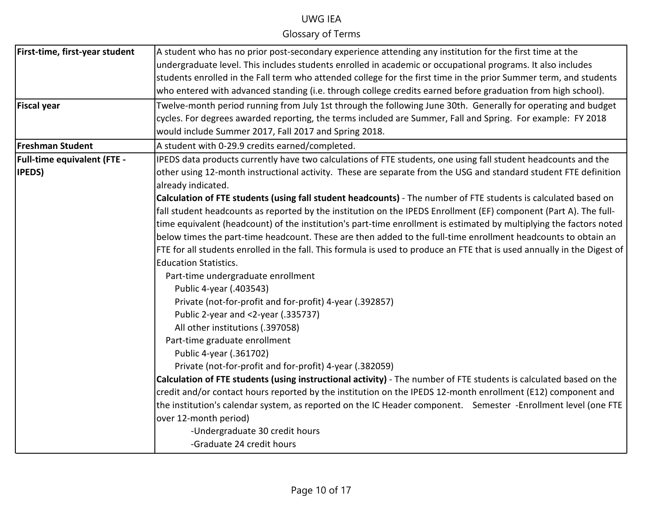| First-time, first-year student     | A student who has no prior post-secondary experience attending any institution for the first time at the                               |
|------------------------------------|----------------------------------------------------------------------------------------------------------------------------------------|
|                                    | undergraduate level. This includes students enrolled in academic or occupational programs. It also includes                            |
|                                    | students enrolled in the Fall term who attended college for the first time in the prior Summer term, and students                      |
|                                    | who entered with advanced standing (i.e. through college credits earned before graduation from high school).                           |
| <b>Fiscal year</b>                 | Twelve-month period running from July 1st through the following June 30th. Generally for operating and budget                          |
|                                    | cycles. For degrees awarded reporting, the terms included are Summer, Fall and Spring. For example: FY 2018                            |
|                                    | would include Summer 2017, Fall 2017 and Spring 2018.                                                                                  |
| <b>Freshman Student</b>            | A student with 0-29.9 credits earned/completed.                                                                                        |
| <b>Full-time equivalent (FTE -</b> | IPEDS data products currently have two calculations of FTE students, one using fall student headcounts and the                         |
| <b>IPEDS</b> )                     | other using 12-month instructional activity. These are separate from the USG and standard student FTE definition<br>already indicated. |
|                                    | Calculation of FTE students (using fall student headcounts) - The number of FTE students is calculated based on                        |
|                                    | fall student headcounts as reported by the institution on the IPEDS Enrollment (EF) component (Part A). The full-                      |
|                                    | time equivalent (headcount) of the institution's part-time enrollment is estimated by multiplying the factors noted                    |
|                                    | below times the part-time headcount. These are then added to the full-time enrollment headcounts to obtain an                          |
|                                    | FTE for all students enrolled in the fall. This formula is used to produce an FTE that is used annually in the Digest of               |
|                                    | <b>Education Statistics.</b>                                                                                                           |
|                                    | Part-time undergraduate enrollment                                                                                                     |
|                                    | Public 4-year (.403543)                                                                                                                |
|                                    | Private (not-for-profit and for-profit) 4-year (.392857)                                                                               |
|                                    | Public 2-year and <2-year (.335737)                                                                                                    |
|                                    | All other institutions (.397058)                                                                                                       |
|                                    | Part-time graduate enrollment                                                                                                          |
|                                    | Public 4-year (.361702)                                                                                                                |
|                                    | Private (not-for-profit and for-profit) 4-year (.382059)                                                                               |
|                                    | Calculation of FTE students (using instructional activity) - The number of FTE students is calculated based on the                     |
|                                    | credit and/or contact hours reported by the institution on the IPEDS 12-month enrollment (E12) component and                           |
|                                    | the institution's calendar system, as reported on the IC Header component. Semester -Enrollment level (one FTE                         |
|                                    | over 12-month period)                                                                                                                  |
|                                    | -Undergraduate 30 credit hours                                                                                                         |
|                                    | -Graduate 24 credit hours                                                                                                              |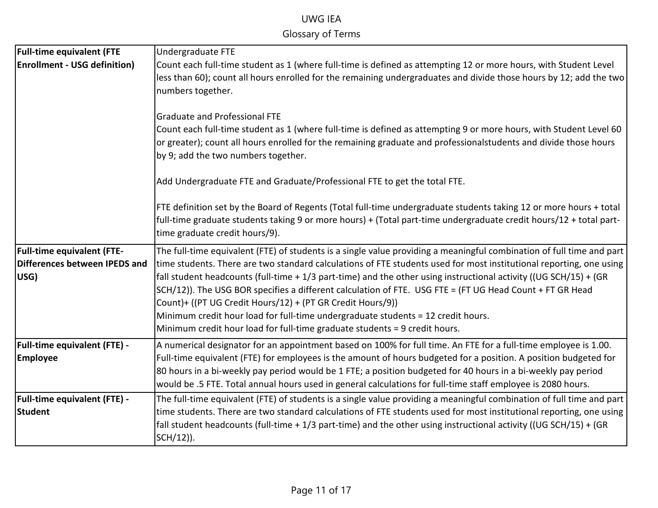| <b>Full-time equivalent (FTE</b>                                           | Undergraduate FTE                                                                                                                                                                                                                                                                                                                                                                                                                                                                                                                                                                                                                                                                                             |
|----------------------------------------------------------------------------|---------------------------------------------------------------------------------------------------------------------------------------------------------------------------------------------------------------------------------------------------------------------------------------------------------------------------------------------------------------------------------------------------------------------------------------------------------------------------------------------------------------------------------------------------------------------------------------------------------------------------------------------------------------------------------------------------------------|
| <b>Enrollment - USG definition)</b>                                        | Count each full-time student as 1 (where full-time is defined as attempting 12 or more hours, with Student Level<br>less than 60); count all hours enrolled for the remaining undergraduates and divide those hours by 12; add the two<br>numbers together.                                                                                                                                                                                                                                                                                                                                                                                                                                                   |
|                                                                            | <b>Graduate and Professional FTE</b><br>Count each full-time student as 1 (where full-time is defined as attempting 9 or more hours, with Student Level 60<br>or greater); count all hours enrolled for the remaining graduate and professionalstudents and divide those hours<br>by 9; add the two numbers together.                                                                                                                                                                                                                                                                                                                                                                                         |
|                                                                            | Add Undergraduate FTE and Graduate/Professional FTE to get the total FTE.                                                                                                                                                                                                                                                                                                                                                                                                                                                                                                                                                                                                                                     |
|                                                                            | FTE definition set by the Board of Regents (Total full-time undergraduate students taking 12 or more hours + total<br>full-time graduate students taking 9 or more hours) + (Total part-time undergraduate credit hours/12 + total part-<br>time graduate credit hours/9).                                                                                                                                                                                                                                                                                                                                                                                                                                    |
| <b>Full-time equivalent (FTE-</b><br>Differences between IPEDS and<br>USG) | The full-time equivalent (FTE) of students is a single value providing a meaningful combination of full time and part<br>time students. There are two standard calculations of FTE students used for most institutional reporting, one using<br>fall student headcounts (full-time + 1/3 part-time) and the other using instructional activity ((UG SCH/15) + (GR<br>SCH/12)). The USG BOR specifies a different calculation of FTE. USG FTE = (FT UG Head Count + FT GR Head<br>Count)+ ((PT UG Credit Hours/12) + (PT GR Credit Hours/9))<br>Minimum credit hour load for full-time undergraduate students = 12 credit hours.<br>Minimum credit hour load for full-time graduate students = 9 credit hours. |
| Full-time equivalent (FTE) -<br><b>Employee</b>                            | A numerical designator for an appointment based on 100% for full time. An FTE for a full-time employee is 1.00.<br>Full-time equivalent (FTE) for employees is the amount of hours budgeted for a position. A position budgeted for<br>80 hours in a bi-weekly pay period would be 1 FTE; a position budgeted for 40 hours in a bi-weekly pay period<br>would be .5 FTE. Total annual hours used in general calculations for full-time staff employee is 2080 hours.                                                                                                                                                                                                                                          |
| <b>Full-time equivalent (FTE) -</b><br><b>Student</b>                      | The full-time equivalent (FTE) of students is a single value providing a meaningful combination of full time and part<br>time students. There are two standard calculations of FTE students used for most institutional reporting, one using<br>fall student headcounts (full-time + 1/3 part-time) and the other using instructional activity ((UG SCH/15) + (GR<br>SCH/12)).                                                                                                                                                                                                                                                                                                                                |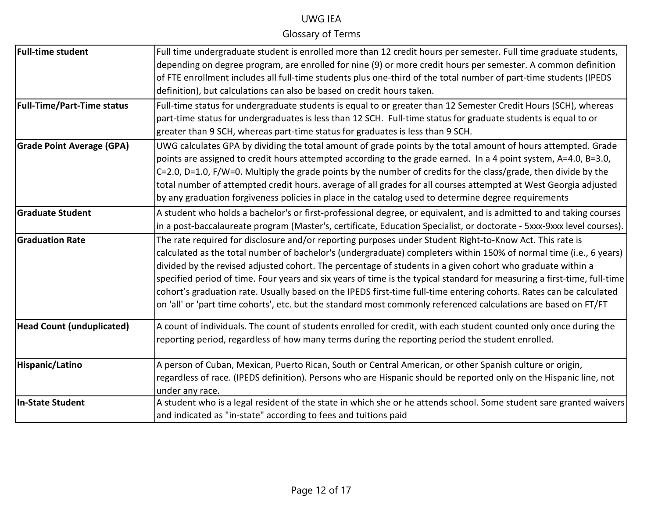| <b>Full-time student</b>          | Full time undergraduate student is enrolled more than 12 credit hours per semester. Full time graduate students,         |
|-----------------------------------|--------------------------------------------------------------------------------------------------------------------------|
|                                   | depending on degree program, are enrolled for nine (9) or more credit hours per semester. A common definition            |
|                                   | of FTE enrollment includes all full-time students plus one-third of the total number of part-time students (IPEDS        |
|                                   | definition), but calculations can also be based on credit hours taken.                                                   |
| <b>Full-Time/Part-Time status</b> | Full-time status for undergraduate students is equal to or greater than 12 Semester Credit Hours (SCH), whereas          |
|                                   | part-time status for undergraduates is less than 12 SCH. Full-time status for graduate students is equal to or           |
|                                   | greater than 9 SCH, whereas part-time status for graduates is less than 9 SCH.                                           |
| <b>Grade Point Average (GPA)</b>  | UWG calculates GPA by dividing the total amount of grade points by the total amount of hours attempted. Grade            |
|                                   | points are assigned to credit hours attempted according to the grade earned. In a 4 point system, A=4.0, B=3.0,          |
|                                   | C=2.0, D=1.0, F/W=0. Multiply the grade points by the number of credits for the class/grade, then divide by the          |
|                                   | total number of attempted credit hours. average of all grades for all courses attempted at West Georgia adjusted         |
|                                   | by any graduation forgiveness policies in place in the catalog used to determine degree requirements                     |
| <b>Graduate Student</b>           | A student who holds a bachelor's or first-professional degree, or equivalent, and is admitted to and taking courses      |
|                                   | in a post-baccalaureate program (Master's, certificate, Education Specialist, or doctorate - 5xxx-9xxx level courses).   |
| <b>Graduation Rate</b>            | The rate required for disclosure and/or reporting purposes under Student Right-to-Know Act. This rate is                 |
|                                   | calculated as the total number of bachelor's (undergraduate) completers within 150% of normal time (i.e., 6 years)       |
|                                   | divided by the revised adjusted cohort. The percentage of students in a given cohort who graduate within a               |
|                                   | specified period of time. Four years and six years of time is the typical standard for measuring a first-time, full-time |
|                                   | cohort's graduation rate. Usually based on the IPEDS first-time full-time entering cohorts. Rates can be calculated      |
|                                   | on 'all' or 'part time cohorts', etc. but the standard most commonly referenced calculations are based on FT/FT          |
| <b>Head Count (unduplicated)</b>  | A count of individuals. The count of students enrolled for credit, with each student counted only once during the        |
|                                   | reporting period, regardless of how many terms during the reporting period the student enrolled.                         |
| Hispanic/Latino                   | A person of Cuban, Mexican, Puerto Rican, South or Central American, or other Spanish culture or origin,                 |
|                                   | regardless of race. (IPEDS definition). Persons who are Hispanic should be reported only on the Hispanic line, not       |
|                                   | under any race.                                                                                                          |
| In-State Student                  | A student who is a legal resident of the state in which she or he attends school. Some student sare granted waivers      |
|                                   | and indicated as "in-state" according to fees and tuitions paid                                                          |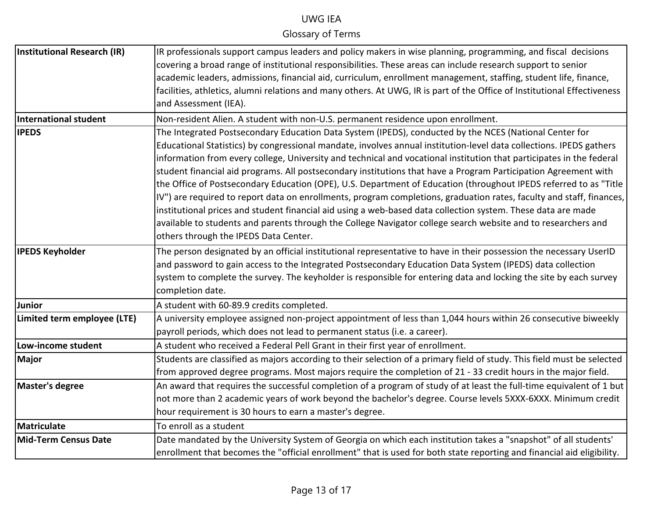| Institutional Research (IR) | IR professionals support campus leaders and policy makers in wise planning, programming, and fiscal decisions            |
|-----------------------------|--------------------------------------------------------------------------------------------------------------------------|
|                             | covering a broad range of institutional responsibilities. These areas can include research support to senior             |
|                             | academic leaders, admissions, financial aid, curriculum, enrollment management, staffing, student life, finance,         |
|                             | facilities, athletics, alumni relations and many others. At UWG, IR is part of the Office of Institutional Effectiveness |
|                             | and Assessment (IEA).                                                                                                    |
| International student       | Non-resident Alien. A student with non-U.S. permanent residence upon enrollment.                                         |
| <b>IPEDS</b>                | The Integrated Postsecondary Education Data System (IPEDS), conducted by the NCES (National Center for                   |
|                             | Educational Statistics) by congressional mandate, involves annual institution-level data collections. IPEDS gathers      |
|                             | information from every college, University and technical and vocational institution that participates in the federal     |
|                             | student financial aid programs. All postsecondary institutions that have a Program Participation Agreement with          |
|                             | the Office of Postsecondary Education (OPE), U.S. Department of Education (throughout IPEDS referred to as "Title        |
|                             | IV") are required to report data on enrollments, program completions, graduation rates, faculty and staff, finances,     |
|                             | institutional prices and student financial aid using a web-based data collection system. These data are made             |
|                             | available to students and parents through the College Navigator college search website and to researchers and            |
|                             | others through the IPEDS Data Center.                                                                                    |
| <b>IPEDS Keyholder</b>      | The person designated by an official institutional representative to have in their possession the necessary UserID       |
|                             | and password to gain access to the Integrated Postsecondary Education Data System (IPEDS) data collection                |
|                             | system to complete the survey. The keyholder is responsible for entering data and locking the site by each survey        |
|                             | completion date.                                                                                                         |
| Junior                      | A student with 60-89.9 credits completed.                                                                                |
| Limited term employee (LTE) | A university employee assigned non-project appointment of less than 1,044 hours within 26 consecutive biweekly           |
|                             | payroll periods, which does not lead to permanent status (i.e. a career).                                                |
| Low-income student          | A student who received a Federal Pell Grant in their first year of enrollment.                                           |
| <b>Major</b>                | Students are classified as majors according to their selection of a primary field of study. This field must be selected  |
|                             | from approved degree programs. Most majors require the completion of 21 - 33 credit hours in the major field.            |
| <b>Master's degree</b>      | An award that requires the successful completion of a program of study of at least the full-time equivalent of 1 but     |
|                             | not more than 2 academic years of work beyond the bachelor's degree. Course levels 5XXX-6XXX. Minimum credit             |
|                             | hour requirement is 30 hours to earn a master's degree.                                                                  |
| Matriculate                 | To enroll as a student                                                                                                   |
| <b>Mid-Term Census Date</b> | Date mandated by the University System of Georgia on which each institution takes a "snapshot" of all students'          |
|                             | enrollment that becomes the "official enrollment" that is used for both state reporting and financial aid eligibility.   |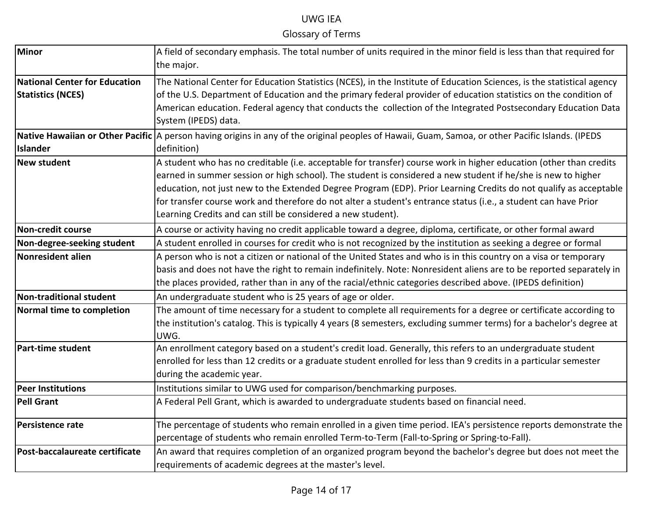| <b>Minor</b>                         | A field of secondary emphasis. The total number of units required in the minor field is less than that required for                              |
|--------------------------------------|--------------------------------------------------------------------------------------------------------------------------------------------------|
|                                      | the major.                                                                                                                                       |
| <b>National Center for Education</b> | The National Center for Education Statistics (NCES), in the Institute of Education Sciences, is the statistical agency                           |
| <b>Statistics (NCES)</b>             | of the U.S. Department of Education and the primary federal provider of education statistics on the condition of                                 |
|                                      | American education. Federal agency that conducts the collection of the Integrated Postsecondary Education Data                                   |
|                                      | System (IPEDS) data.                                                                                                                             |
|                                      | Native Hawaiian or Other Pacific A person having origins in any of the original peoples of Hawaii, Guam, Samoa, or other Pacific Islands. (IPEDS |
| <b>Islander</b>                      | definition)                                                                                                                                      |
| <b>New student</b>                   | A student who has no creditable (i.e. acceptable for transfer) course work in higher education (other than credits                               |
|                                      | earned in summer session or high school). The student is considered a new student if he/she is new to higher                                     |
|                                      | education, not just new to the Extended Degree Program (EDP). Prior Learning Credits do not qualify as acceptable                                |
|                                      | for transfer course work and therefore do not alter a student's entrance status (i.e., a student can have Prior                                  |
|                                      | Learning Credits and can still be considered a new student).                                                                                     |
| <b>Non-credit course</b>             | A course or activity having no credit applicable toward a degree, diploma, certificate, or other formal award                                    |
| Non-degree-seeking student           | A student enrolled in courses for credit who is not recognized by the institution as seeking a degree or formal                                  |
| Nonresident alien                    | A person who is not a citizen or national of the United States and who is in this country on a visa or temporary                                 |
|                                      | basis and does not have the right to remain indefinitely. Note: Nonresident aliens are to be reported separately in                              |
|                                      | the places provided, rather than in any of the racial/ethnic categories described above. (IPEDS definition)                                      |
| Non-traditional student              | An undergraduate student who is 25 years of age or older.                                                                                        |
| Normal time to completion            | The amount of time necessary for a student to complete all requirements for a degree or certificate according to                                 |
|                                      | the institution's catalog. This is typically 4 years (8 semesters, excluding summer terms) for a bachelor's degree at                            |
|                                      | UWG.                                                                                                                                             |
| Part-time student                    | An enrollment category based on a student's credit load. Generally, this refers to an undergraduate student                                      |
|                                      | enrolled for less than 12 credits or a graduate student enrolled for less than 9 credits in a particular semester                                |
|                                      | during the academic year.                                                                                                                        |
| <b>Peer Institutions</b>             | Institutions similar to UWG used for comparison/benchmarking purposes.                                                                           |
| <b>Pell Grant</b>                    | A Federal Pell Grant, which is awarded to undergraduate students based on financial need.                                                        |
| Persistence rate                     | The percentage of students who remain enrolled in a given time period. IEA's persistence reports demonstrate the                                 |
|                                      | percentage of students who remain enrolled Term-to-Term (Fall-to-Spring or Spring-to-Fall).                                                      |
| Post-baccalaureate certificate       | An award that requires completion of an organized program beyond the bachelor's degree but does not meet the                                     |
|                                      | requirements of academic degrees at the master's level.                                                                                          |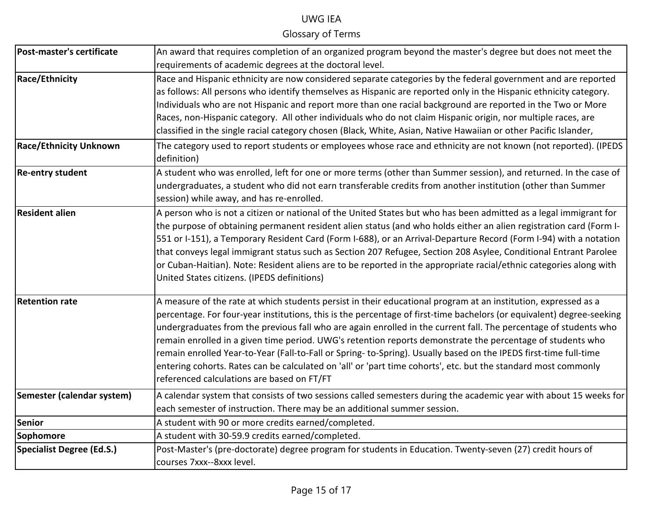| Post-master's certificate        | An award that requires completion of an organized program beyond the master's degree but does not meet the<br>requirements of academic degrees at the doctoral level.                                                                                                                                                                                                                                                                                                                                                                                                                                                                                                                                                                                         |
|----------------------------------|---------------------------------------------------------------------------------------------------------------------------------------------------------------------------------------------------------------------------------------------------------------------------------------------------------------------------------------------------------------------------------------------------------------------------------------------------------------------------------------------------------------------------------------------------------------------------------------------------------------------------------------------------------------------------------------------------------------------------------------------------------------|
| <b>Race/Ethnicity</b>            | Race and Hispanic ethnicity are now considered separate categories by the federal government and are reported<br>as follows: All persons who identify themselves as Hispanic are reported only in the Hispanic ethnicity category.<br>Individuals who are not Hispanic and report more than one racial background are reported in the Two or More<br>Races, non-Hispanic category. All other individuals who do not claim Hispanic origin, nor multiple races, are<br>classified in the single racial category chosen (Black, White, Asian, Native Hawaiian or other Pacific Islander,                                                                                                                                                                        |
| <b>Race/Ethnicity Unknown</b>    | The category used to report students or employees whose race and ethnicity are not known (not reported). (IPEDS<br>definition)                                                                                                                                                                                                                                                                                                                                                                                                                                                                                                                                                                                                                                |
| <b>Re-entry student</b>          | A student who was enrolled, left for one or more terms (other than Summer session), and returned. In the case of<br>undergraduates, a student who did not earn transferable credits from another institution (other than Summer<br>session) while away, and has re-enrolled.                                                                                                                                                                                                                                                                                                                                                                                                                                                                                  |
| <b>Resident alien</b>            | A person who is not a citizen or national of the United States but who has been admitted as a legal immigrant for<br>the purpose of obtaining permanent resident alien status (and who holds either an alien registration card (Form I-<br>551 or I-151), a Temporary Resident Card (Form I-688), or an Arrival-Departure Record (Form I-94) with a notation<br>that conveys legal immigrant status such as Section 207 Refugee, Section 208 Asylee, Conditional Entrant Parolee<br>or Cuban-Haitian). Note: Resident aliens are to be reported in the appropriate racial/ethnic categories along with<br>United States citizens. (IPEDS definitions)                                                                                                         |
| <b>Retention rate</b>            | A measure of the rate at which students persist in their educational program at an institution, expressed as a<br>percentage. For four-year institutions, this is the percentage of first-time bachelors (or equivalent) degree-seeking<br>undergraduates from the previous fall who are again enrolled in the current fall. The percentage of students who<br>remain enrolled in a given time period. UWG's retention reports demonstrate the percentage of students who<br>remain enrolled Year-to-Year (Fall-to-Fall or Spring-to-Spring). Usually based on the IPEDS first-time full-time<br>entering cohorts. Rates can be calculated on 'all' or 'part time cohorts', etc. but the standard most commonly<br>referenced calculations are based on FT/FT |
| Semester (calendar system)       | A calendar system that consists of two sessions called semesters during the academic year with about 15 weeks for<br>each semester of instruction. There may be an additional summer session.                                                                                                                                                                                                                                                                                                                                                                                                                                                                                                                                                                 |
| Senior                           | A student with 90 or more credits earned/completed.                                                                                                                                                                                                                                                                                                                                                                                                                                                                                                                                                                                                                                                                                                           |
| Sophomore                        | A student with 30-59.9 credits earned/completed.                                                                                                                                                                                                                                                                                                                                                                                                                                                                                                                                                                                                                                                                                                              |
| <b>Specialist Degree (Ed.S.)</b> | Post-Master's (pre-doctorate) degree program for students in Education. Twenty-seven (27) credit hours of<br>courses 7xxx--8xxx level.                                                                                                                                                                                                                                                                                                                                                                                                                                                                                                                                                                                                                        |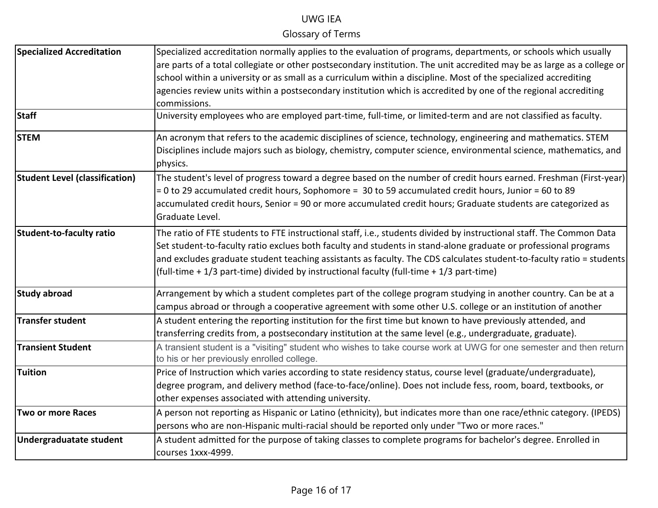| <b>Specialized Accreditation</b>      | Specialized accreditation normally applies to the evaluation of programs, departments, or schools which usually                                                  |
|---------------------------------------|------------------------------------------------------------------------------------------------------------------------------------------------------------------|
|                                       | are parts of a total collegiate or other postsecondary institution. The unit accredited may be as large as a college or                                          |
|                                       | school within a university or as small as a curriculum within a discipline. Most of the specialized accrediting                                                  |
|                                       | agencies review units within a postsecondary institution which is accredited by one of the regional accrediting<br>commissions.                                  |
| <b>Staff</b>                          | University employees who are employed part-time, full-time, or limited-term and are not classified as faculty.                                                   |
| <b>STEM</b>                           | An acronym that refers to the academic disciplines of science, technology, engineering and mathematics. STEM                                                     |
|                                       | Disciplines include majors such as biology, chemistry, computer science, environmental science, mathematics, and<br>physics.                                     |
| <b>Student Level (classification)</b> | The student's level of progress toward a degree based on the number of credit hours earned. Freshman (First-year)                                                |
|                                       | = 0 to 29 accumulated credit hours, Sophomore = 30 to 59 accumulated credit hours, Junior = 60 to 89                                                             |
|                                       | accumulated credit hours, Senior = 90 or more accumulated credit hours; Graduate students are categorized as<br>Graduate Level.                                  |
| Student-to-faculty ratio              | The ratio of FTE students to FTE instructional staff, i.e., students divided by instructional staff. The Common Data                                             |
|                                       | Set student-to-faculty ratio exclues both faculty and students in stand-alone graduate or professional programs                                                  |
|                                       | and excludes graduate student teaching assistants as faculty. The CDS calculates student-to-faculty ratio = students                                             |
|                                       | (full-time + 1/3 part-time) divided by instructional faculty (full-time + 1/3 part-time)                                                                         |
| <b>Study abroad</b>                   | Arrangement by which a student completes part of the college program studying in another country. Can be at a                                                    |
|                                       | campus abroad or through a cooperative agreement with some other U.S. college or an institution of another                                                       |
| <b>Transfer student</b>               | A student entering the reporting institution for the first time but known to have previously attended, and                                                       |
|                                       | transferring credits from, a postsecondary institution at the same level (e.g., undergraduate, graduate).                                                        |
| <b>Transient Student</b>              | A transient student is a "visiting" student who wishes to take course work at UWG for one semester and then return<br>to his or her previously enrolled college. |
| Tuition                               | Price of Instruction which varies according to state residency status, course level (graduate/undergraduate),                                                    |
|                                       | degree program, and delivery method (face-to-face/online). Does not include fess, room, board, textbooks, or                                                     |
|                                       | other expenses associated with attending university.                                                                                                             |
| <b>Two or more Races</b>              | A person not reporting as Hispanic or Latino (ethnicity), but indicates more than one race/ethnic category. (IPEDS)                                              |
|                                       | persons who are non-Hispanic multi-racial should be reported only under "Two or more races."                                                                     |
| <b>Undergraduatate student</b>        | A student admitted for the purpose of taking classes to complete programs for bachelor's degree. Enrolled in                                                     |
|                                       | courses 1xxx-4999.                                                                                                                                               |